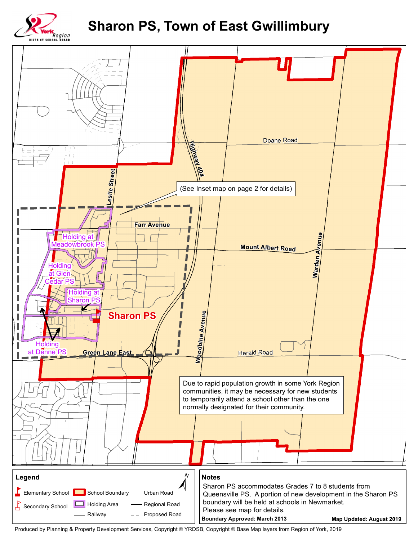## **Sharon PS, Town of East Gwillimbury**





Produced by Planning & Property Development Services, Copyright © YRDSB, Copyright © Base Map layers from Region of York, 2019